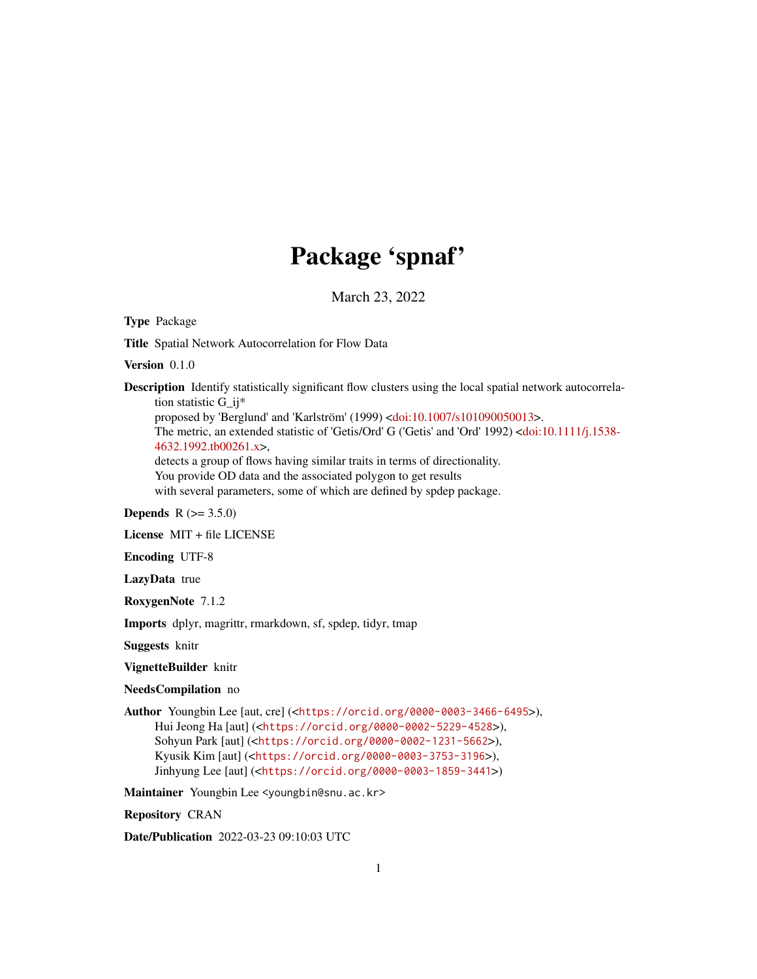## Package 'spnaf'

March 23, 2022

<span id="page-0-0"></span>Type Package

Title Spatial Network Autocorrelation for Flow Data

Version 0.1.0

Description Identify statistically significant flow clusters using the local spatial network autocorrelation statistic G\_ij\*

proposed by 'Berglund' and 'Karlström' (1999) [<doi:10.1007/s101090050013>](https://doi.org/10.1007/s101090050013).

The metric, an extended statistic of 'Getis/Ord' G ('Getis' and 'Ord' 1992) [<doi:10.1111/j.1538-](https://doi.org/10.1111/j.1538-4632.1992.tb00261.x) [4632.1992.tb00261.x>](https://doi.org/10.1111/j.1538-4632.1992.tb00261.x),

detects a group of flows having similar traits in terms of directionality.

You provide OD data and the associated polygon to get results

with several parameters, some of which are defined by spdep package.

#### **Depends**  $R (= 3.5.0)$

License MIT + file LICENSE

Encoding UTF-8

LazyData true

RoxygenNote 7.1.2

Imports dplyr, magrittr, rmarkdown, sf, spdep, tidyr, tmap

Suggests knitr

VignetteBuilder knitr

#### NeedsCompilation no

Author Youngbin Lee [aut, cre] (<<https://orcid.org/0000-0003-3466-6495>>), Hui Jeong Ha [aut] (<<https://orcid.org/0000-0002-5229-4528>>), Sohyun Park [aut] (<<https://orcid.org/0000-0002-1231-5662>>), Kyusik Kim [aut] (<<https://orcid.org/0000-0003-3753-3196>>), Jinhyung Lee [aut] (<<https://orcid.org/0000-0003-1859-3441>>)

Maintainer Youngbin Lee <youngbin@snu.ac.kr>

Repository CRAN

Date/Publication 2022-03-23 09:10:03 UTC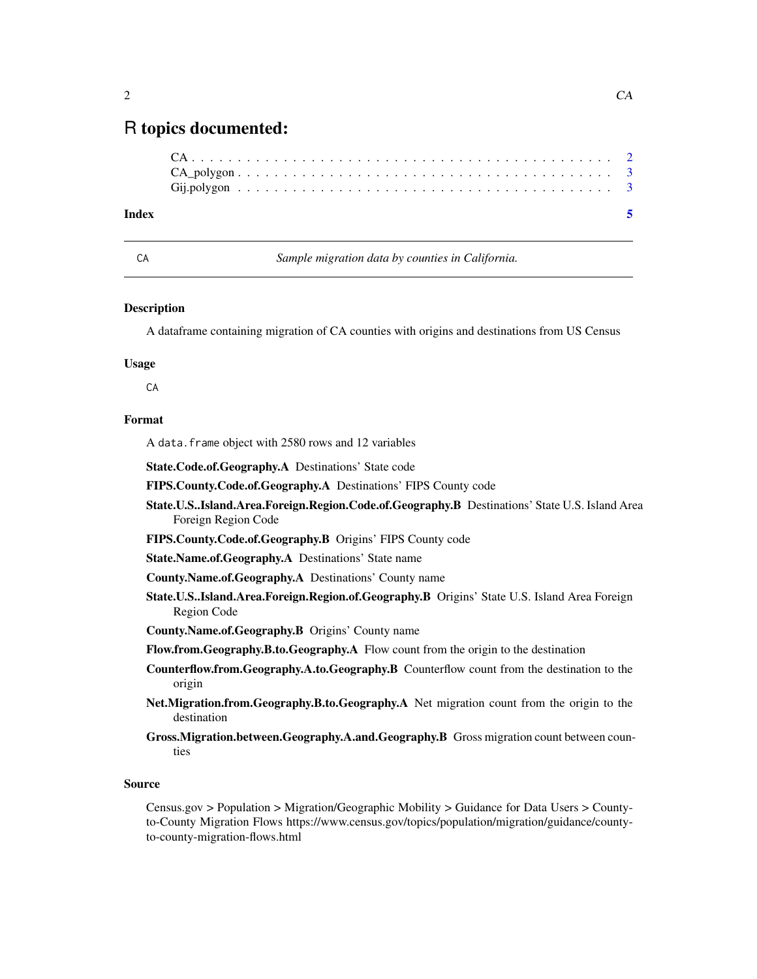### <span id="page-1-0"></span>R topics documented:

#### **Index** [5](#page-4-0). The second state of the second state of the second state of the second state of the second state of the second state of the second state of the second state of the second state of the second state of the second

CA *Sample migration data by counties in California.*

#### **Description**

A dataframe containing migration of CA counties with origins and destinations from US Census

#### Usage

CA

#### Format

A data.frame object with 2580 rows and 12 variables

State.Code.of.Geography.A Destinations' State code

- FIPS.County.Code.of.Geography.A Destinations' FIPS County code
- State.U.S..Island.Area.Foreign.Region.Code.of.Geography.B Destinations' State U.S. Island Area Foreign Region Code
- FIPS.County.Code.of.Geography.B Origins' FIPS County code
- State.Name.of.Geography.A Destinations' State name
- County.Name.of.Geography.A Destinations' County name
- State.U.S..Island.Area.Foreign.Region.of.Geography.B Origins' State U.S. Island Area Foreign Region Code
- County.Name.of.Geography.B Origins' County name
- Flow.from.Geography.B.to.Geography.A Flow count from the origin to the destination
- Counterflow.from.Geography.A.to.Geography.B Counterflow count from the destination to the origin
- Net.Migration.from.Geography.B.to.Geography.A Net migration count from the origin to the destination
- Gross.Migration.between.Geography.A.and.Geography.B Gross migration count between counties

#### Source

Census.gov > Population > Migration/Geographic Mobility > Guidance for Data Users > Countyto-County Migration Flows https://www.census.gov/topics/population/migration/guidance/countyto-county-migration-flows.html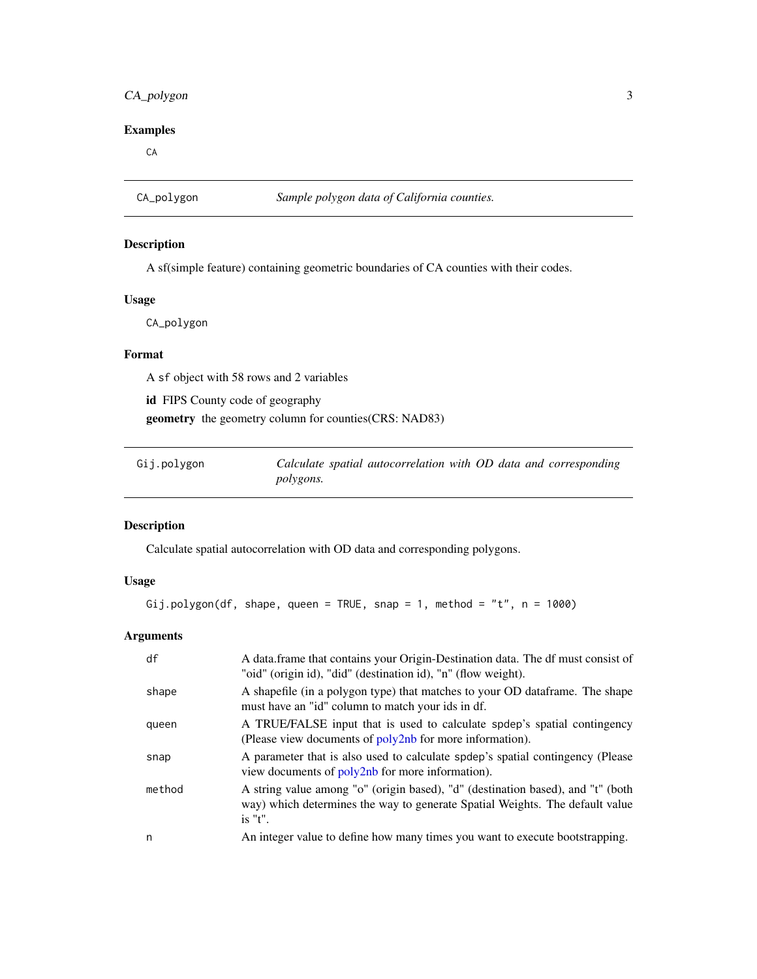#### <span id="page-2-0"></span>CA\_polygon 3

#### Examples

CA

CA\_polygon *Sample polygon data of California counties.*

#### Description

A sf(simple feature) containing geometric boundaries of CA counties with their codes.

#### Usage

CA\_polygon

#### Format

A sf object with 58 rows and 2 variables

id FIPS County code of geography

geometry the geometry column for counties(CRS: NAD83)

| Gij.polygon | Calculate spatial autocorrelation with OD data and corresponding |  |  |  |
|-------------|------------------------------------------------------------------|--|--|--|
|             | <i>polygons.</i>                                                 |  |  |  |

#### Description

Calculate spatial autocorrelation with OD data and corresponding polygons.

#### Usage

```
Gij.polygon(df, shape, queen = TRUE, snap = 1, method = "t", n = 1000)
```
#### Arguments

| df     | A data. frame that contains your Origin-Destination data. The df must consist of<br>"oid" (origin id), "did" (destination id), "n" (flow weight).                             |
|--------|-------------------------------------------------------------------------------------------------------------------------------------------------------------------------------|
| shape  | A shapefile (in a polygon type) that matches to your OD dataframe. The shape<br>must have an "id" column to match your ids in df.                                             |
| queen  | A TRUE/FALSE input that is used to calculate spdep's spatial contingency<br>(Please view documents of $poly2nb$ for more information).                                        |
| snap   | A parameter that is also used to calculate spdep's spatial contingency (Please)<br>view documents of poly2nb for more information).                                           |
| method | A string value among "o" (origin based), "d" (destination based), and "t" (both<br>way) which determines the way to generate Spatial Weights. The default value<br>$i$ s "t". |
| n      | An integer value to define how many times you want to execute bootstrapping.                                                                                                  |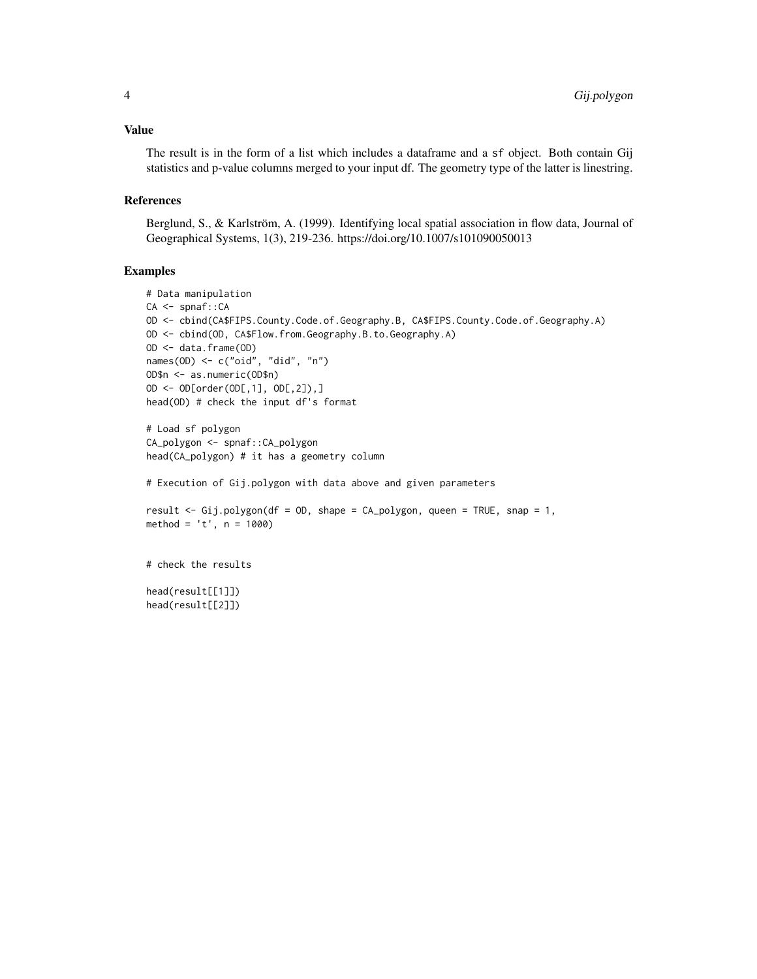#### Value

The result is in the form of a list which includes a dataframe and a sf object. Both contain Gij statistics and p-value columns merged to your input df. The geometry type of the latter is linestring.

#### References

Berglund, S., & Karlström, A. (1999). Identifying local spatial association in flow data, Journal of Geographical Systems, 1(3), 219-236. https://doi.org/10.1007/s101090050013

#### Examples

```
# Data manipulation
CA <- spnaf::CA
OD <- cbind(CA$FIPS.County.Code.of.Geography.B, CA$FIPS.County.Code.of.Geography.A)
OD <- cbind(OD, CA$Flow.from.Geography.B.to.Geography.A)
OD <- data.frame(OD)
names(OD) <- c("oid", "did", "n")
OD$n <- as.numeric(OD$n)
OD <- OD[order(OD[,1], OD[,2]),]
head(OD) # check the input df's format
# Load sf polygon
CA_polygon <- spnaf::CA_polygon
head(CA_polygon) # it has a geometry column
# Execution of Gij.polygon with data above and given parameters
result <- Gij.polygon(df = OD, shape = CA_polygon, queen = TRUE, snap = 1,
method = 't', n = 1000)# check the results
```
head(result[[1]]) head(result[[2]])